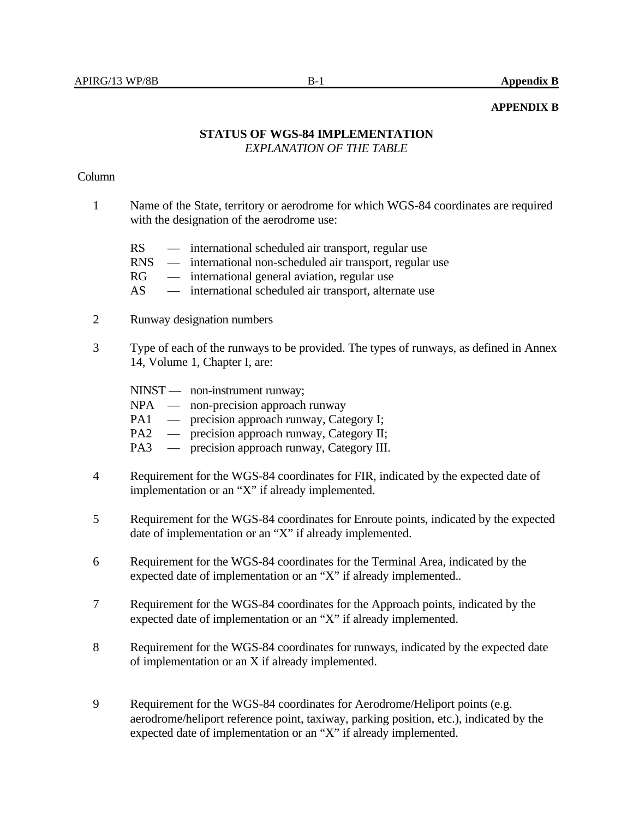## **APPENDIX B**

## **STATUS OF WGS-84 IMPLEMENTATION**  *EXPLANATION OF THE TABLE*

## Column

- 1 Name of the State, territory or aerodrome for which WGS-84 coordinates are required with the designation of the aerodrome use:
	- RS international scheduled air transport, regular use
	- RNS international non-scheduled air transport, regular use
	- RG international general aviation, regular use
	- AS international scheduled air transport, alternate use
- 2 Runway designation numbers
- 3 Type of each of the runways to be provided. The types of runways, as defined in Annex 14, Volume 1, Chapter I, are:

|                 | NINST — non-instrument runway;             |
|-----------------|--------------------------------------------|
|                 | $NPA$ — non-precision approach runway      |
| PA1             | — precision approach runway, Category I;   |
| PA <sub>2</sub> | — precision approach runway, Category II;  |
| PA <sub>3</sub> | — precision approach runway, Category III. |

- 4 Requirement for the WGS-84 coordinates for FIR, indicated by the expected date of implementation or an "X" if already implemented.
- 5 Requirement for the WGS-84 coordinates for Enroute points, indicated by the expected date of implementation or an "X" if already implemented.
- 6 Requirement for the WGS-84 coordinates for the Terminal Area, indicated by the expected date of implementation or an "X" if already implemented..
- 7 Requirement for the WGS-84 coordinates for the Approach points, indicated by the expected date of implementation or an "X" if already implemented.
- 8 Requirement for the WGS-84 coordinates for runways, indicated by the expected date of implementation or an X if already implemented.
- 9 Requirement for the WGS-84 coordinates for Aerodrome/Heliport points (e.g. aerodrome/heliport reference point, taxiway, parking position, etc.), indicated by the expected date of implementation or an "X" if already implemented.